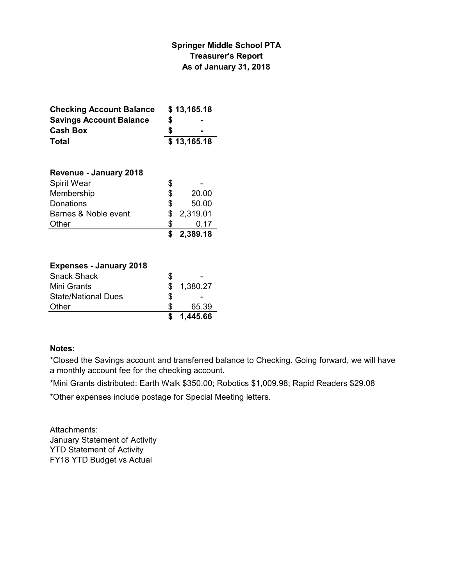### **Springer Middle School PTA Treasurer's Report As of January 31, 2018**

| <b>Checking Account Balance</b> | \$13,165.18 |                |
|---------------------------------|-------------|----------------|
| <b>Savings Account Balance</b>  | S           | $\blacksquare$ |
| <b>Cash Box</b>                 | S           | $\blacksquare$ |
| Total                           | \$13,165.18 |                |

| <b>Revenue - January 2018</b> |    |          |
|-------------------------------|----|----------|
| Spirit Wear                   | \$ |          |
| Membership                    | \$ | 20.00    |
| Donations                     | \$ | 50.00    |
| Barnes & Noble event          | S  | 2,319.01 |
| Other                         | S  | 0.17     |
|                               | \$ | 2,389.18 |

#### **Expenses - January 2018**

|                            |    | \$1,445.66 |
|----------------------------|----|------------|
| Other                      | æ. | 65.39      |
| <b>State/National Dues</b> | S  |            |
| Mini Grants                |    | \$1,380.27 |
| <b>Snack Shack</b>         | Ж, |            |

#### **Notes:**

\*Closed the Savings account and transferred balance to Checking. Going forward, we will have a monthly account fee for the checking account.

\*Mini Grants distributed: Earth Walk \$350.00; Robotics \$1,009.98; Rapid Readers \$29.08

\*Other expenses include postage for Special Meeting letters.

Attachments: January Statement of Activity YTD Statement of Activity FY18 YTD Budget vs Actual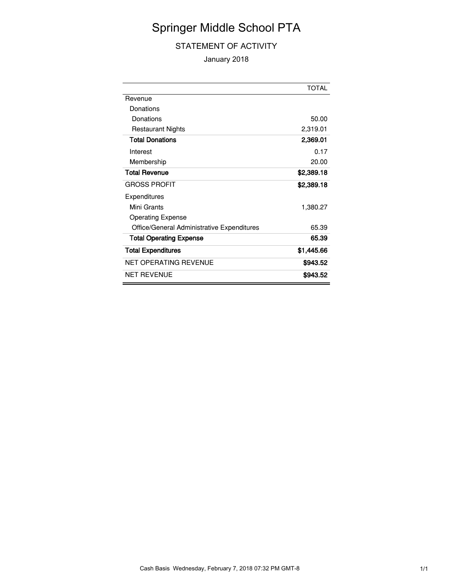# Springer Middle School PTA

#### STATEMENT OF ACTIVITY

January 2018

|                                            | TOTAL      |
|--------------------------------------------|------------|
| Revenue                                    |            |
| Donations                                  |            |
| Donations                                  | 50.00      |
| <b>Restaurant Nights</b>                   | 2,319.01   |
| <b>Total Donations</b>                     | 2,369.01   |
| Interest                                   | 0.17       |
| Membership                                 | 20.00      |
| <b>Total Revenue</b>                       | \$2,389.18 |
| <b>GROSS PROFIT</b>                        | \$2,389.18 |
| Expenditures                               |            |
| Mini Grants                                | 1,380.27   |
| <b>Operating Expense</b>                   |            |
| Office/General Administrative Expenditures | 65.39      |
| <b>Total Operating Expense</b>             | 65.39      |
| <b>Total Expenditures</b>                  | \$1,445.66 |
| NET OPERATING REVENUE                      | \$943.52   |
| NET REVENUE                                | \$943.52   |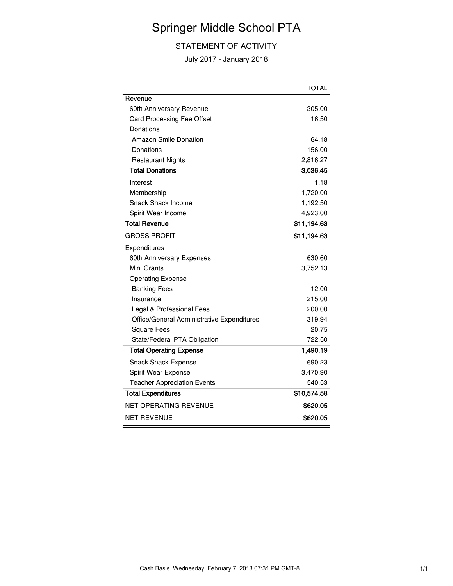# Springer Middle School PTA

### STATEMENT OF ACTIVITY

July 2017 - January 2018

|                                            | <b>TOTAL</b> |
|--------------------------------------------|--------------|
| Revenue                                    |              |
| 60th Anniversary Revenue                   | 305.00       |
| Card Processing Fee Offset                 | 16.50        |
| Donations                                  |              |
| <b>Amazon Smile Donation</b>               | 64.18        |
| Donations                                  | 156.00       |
| <b>Restaurant Nights</b>                   | 2,816.27     |
| <b>Total Donations</b>                     | 3,036.45     |
| Interest                                   | 1.18         |
| Membership                                 | 1,720.00     |
| Snack Shack Income                         | 1,192.50     |
| Spirit Wear Income                         | 4,923.00     |
| <b>Total Revenue</b>                       | \$11,194.63  |
| <b>GROSS PROFIT</b>                        | \$11,194.63  |
| Expenditures                               |              |
| 60th Anniversary Expenses                  | 630.60       |
| Mini Grants                                | 3,752.13     |
| <b>Operating Expense</b>                   |              |
| <b>Banking Fees</b>                        | 12.00        |
| Insurance                                  | 215.00       |
| Legal & Professional Fees                  | 200.00       |
| Office/General Administrative Expenditures | 319.94       |
| <b>Square Fees</b>                         | 20.75        |
| State/Federal PTA Obligation               | 722.50       |
| <b>Total Operating Expense</b>             | 1,490.19     |
| <b>Snack Shack Expense</b>                 | 690.23       |
| Spirit Wear Expense                        | 3,470.90     |
| <b>Teacher Appreciation Events</b>         | 540.53       |
| <b>Total Expenditures</b>                  | \$10,574.58  |
| <b>NET OPERATING REVENUE</b>               | \$620.05     |
| <b>NET REVENUE</b>                         | \$620.05     |